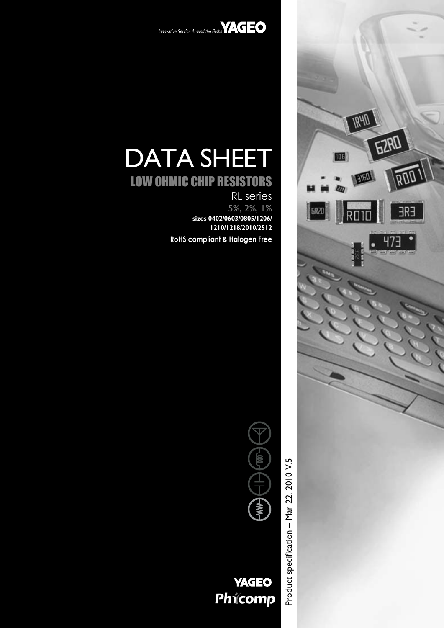



# DATA SHEET

## LOW OHMIC CHIP RESISTORS

RL series 5%, 2%, 1% **sizes 0402/0603/0805/1206/ 1210/1218/2010/2512**

**RoHS compliant & Halogen Free**





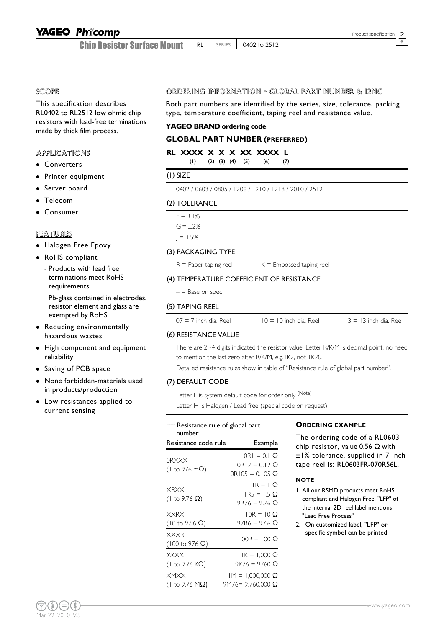## YAGEO Phícomp

Chip Resistor Surface Mount RL | SERIES | 0402 to 2512 9

#### SCOPE

This specification describes RL0402 to RL2512 low ohmic chip resistors with lead-free terminations made by thick film process.

#### **APPLICATIONS**

- Converters
- Printer equipment
- Server board
- Telecom
- $\bullet$  Consumer

#### FEATURES

- Halogen Free Epoxy
- RoHS compliant
	- Products with lead free terminations meet RoHS requirements
	- Pb-glass contained in electrodes, resistor element and glass are exempted by RoHS
- Reducing environmentally hazardous wastes
- High component and equipment reliability
- Saving of PCB space
- None forbidden-materials used in products/production
- Low resistances applied to current sensing

#### ORDERING INFORMATION - GLOBAL PART NUMBER & 12NC

Both part numbers are identified by the series, size, tolerance, packing type, temperature coefficient, taping reel and resistance value.

#### **YAGEO BRAND ordering code**

#### **GLOBAL PART NUMBER (PREFERRED)**

#### **RL XXXX X X X XX XXXX L**

| (1) (2) (3) (4) (5) (6) (7) |  |
|-----------------------------|--|
|-----------------------------|--|

#### (1) SIZE

0402 / 0603 / 0805 / 1206 / 1210 / 1218 / 2010 / 2512

#### (2) TOLERANCE

 $F = \pm 1\%$  $G = +2%$ 

 $J = \pm 5%$ 

#### (3) PACKAGING TYPE

 $R =$  Paper taping reel  $K =$  Embossed taping reel

#### (4) TEMPERATURE COEFFICIENT OF RESISTANCE

 $=$  Base on spec

#### (5) TAPING REEL

 $07 = 7$  inch dia. Reel  $10 = 10$  inch dia. Reel  $13 = 13$  inch dia. Reel

#### (6) RESISTANCE VALUE

There are 2~4 digits indicated the resistor value. Letter R/K/M is decimal point, no need to mention the last zero after R/K/M, e.g.1K2, not 1K20.

Detailed resistance rules show in table of "Resistance rule of global part number".

#### (7) DEFAULT CODE

Letter L is system default code for order only (Note)

Letter H is Halogen / Lead free (special code on request)

### Resistance rule of global part

| number                                        |                                                                |
|-----------------------------------------------|----------------------------------------------------------------|
| Resistance code rule                          | Example                                                        |
| 0RXXX<br>(1 to 976 m $\Omega$ )               | $ORI = 0.1$ $\Omega$<br>$OR12 = 0.12$ $Q$<br>$OR105 = 0.105$ Q |
| XRXX<br>(1 to 9.76 $\Omega$ )                 | $IR = 1$ $O$<br>$IR5 = 1.5$ Q<br>$9R76 = 9.76$ Q               |
| <b>XXRX</b><br>$(10 \text{ to } 97.6 \Omega)$ | $10R = 10Q$<br>97R6 = 97.6 Ω                                   |
| <b>XXXR</b><br>$(100 \text{ to } 976 \Omega)$ | $100R = 100 \Omega$                                            |
| XKXX<br>(1 to 9.76 K $\Omega$ )               | $IK = 1,000 \Omega$<br>9K76 = 9760 Ω                           |
| XMXX<br>(1 to 9.76 M $\Omega$ )               | $IM = 1,000,000 \Omega$<br>9M76= 9,760,000 Ω                   |

#### **ORDERING EXAMPLE**

The ordering code of a RL0603 chip resistor, value 0.56  $\Omega$  with ±1% tolerance, supplied in 7-inch tape reel is: RL0603FR-070R56L.

#### **NOTE**

- 1. All our RSMD products meet RoHS compliant and Halogen Free. "LFP" of the internal 2D reel label mentions "Lead Free Process"
- 2. On customized label, "LFP" or specific symbol can be printed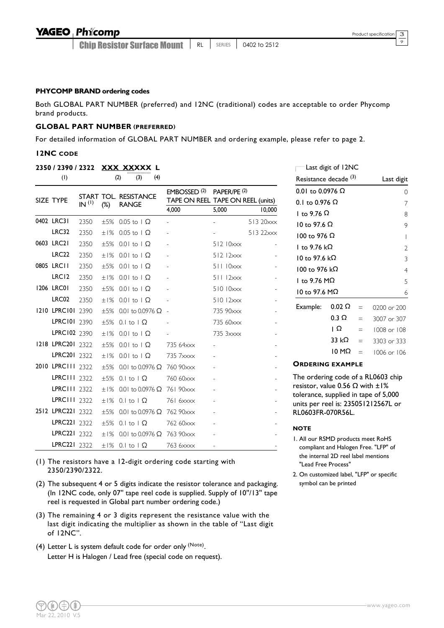9

#### **P HYCOMP BRAND ordering codes**

Both GLOBAL PART NUMBER (preferred) and 12NC (traditional) codes are acceptable to order Phycomp brand products.

#### **GLOBAL PART NUMBER (PREFERRED)**

For detailed information of GLOBAL PART NUMBER and ordering example, please refer to page 2.

#### **12NC CODE**

#### **2350 / 2390 / 2322 XXX XXXXX L**

| (1)               |                   |           | (4)<br>(2)<br>(3)                     |                                                              |                         |           |
|-------------------|-------------------|-----------|---------------------------------------|--------------------------------------------------------------|-------------------------|-----------|
| SIZE TYPE         | IN <sup>(1)</sup> | $(\%)$    | START TOL. RESISTANCE<br><b>RANGE</b> | EMBOSSED <sup>(2)</sup><br>TAPE ON REEL TAPE ON REEL (units) | PAPER/PE <sup>(2)</sup> |           |
|                   |                   |           |                                       | 4,000                                                        | 5,000                   | 10,000    |
| 0402 LRC31        | 2350              |           | $\pm 5\%$ 0.05 to $\Omega$            |                                                              |                         | 513 20xxx |
| <b>LRC32</b>      | 2350              | ±1%       | $0.05$ to $\Omega$                    |                                                              |                         | 513 22xxx |
| 0603 LRC21        | 2350              |           | $\pm 5\%$ 0.01 to 1 $\Omega$          |                                                              | 51210xxx                |           |
| <b>LRC22</b>      | 2350              |           | $\pm$ 1% 0.01 to 1 $\Omega$           |                                                              | $512$ $12 \times x$     |           |
| 0805 LRC11        | 2350              |           | $\pm 5\%$ 0.01 to 1 $\Omega$          |                                                              | 51110xxx                |           |
| LRC <sub>12</sub> | 2350              |           | $\pm 1\%$ 0.01 to 1 $\Omega$          |                                                              | 51112xxx                |           |
| 1206 LRC01        | 2350              |           | $\pm 5\%$ 0.01 to 1 $\Omega$          |                                                              | 51010xxx                |           |
| LRC02             | 2350              |           | $±1\%$ 0.01 to 1 $\Omega$             |                                                              | $51012$ $\times$        |           |
| 1210 LPRC101 2390 |                   |           | $\pm 5\%$ 0.01 to 0.0976 $\Omega$     | $\sim$                                                       | 735 90xxx               |           |
| LPRC101 2390      |                   |           | $\pm 5\%$ 0.1 to 1 $\Omega$           |                                                              | 735 60xxx               |           |
| LPRC102 2390      |                   |           | $\pm 1\%$ 0.01 to 1 $\Omega$          |                                                              | 735 3xxxx               |           |
| 1218 LPRC201 2322 |                   |           | $\pm 5\%$ 0.01 to 1 $\Omega$          | 735 64xxx                                                    |                         |           |
| LPRC201 2322      |                   |           | $\pm$ 1% 0.01 to 1 $\Omega$           | 735 7xxxx                                                    |                         |           |
| 2010 LPRC111 2322 |                   | $+5%$     | 0.01 to 0.0976 $\Omega$               | 760 90xxx                                                    |                         |           |
| LPRC111 2322      |                   | $+5%$     | $0.1$ to $1\Omega$                    | 760 60xxx                                                    |                         |           |
| LPRC111 2322      |                   | ±1%       | 0.01 to 0.0976 $\Omega$               | 761 90xxx                                                    |                         |           |
| LPRC111 2322      |                   | ±1%       | 0.1 to $\Omega$                       | 761 6xxxx                                                    |                         |           |
| 2512 LPRC221 2322 |                   | ±5%       | 0.01 to 0.0976 $\Omega$               | 762 90xxx                                                    |                         |           |
| LPRC221 2322      |                   | $\pm 5\%$ | 0.1 to $\Omega$                       | 762 60xxx                                                    |                         |           |
| LPRC221 2322      |                   | ±1%       | 0.01 to 0.0976 $\Omega$               | 763 90xxx                                                    |                         |           |
| LPRC221 2322      |                   |           | $\pm 1\%$ 0.1 to 1 $\Omega$           | 763 6xxxx                                                    | $\blacksquare$          |           |

(1) The resistors have a 12-digit ordering code starting with 2350/2390/2322.

- (2) The subsequent 4 or 5 digits indicate the resistor tolerance and packaging. (In 12NC code, only 07'' tape reel code is supplied. Supply of 10''/13'' tape reel is requested in Global part number ordering code.)
- (3) The remaining 4 or 3 digits represent the resistance value with the last digit indicating the multiplier as shown in the table of "Last digit of 12NC".
- (4) Letter L is system default code for order only  $(N$ <sup>ote)</sup>. Letter H is Halogen / Lead free (special code on request).

|                                  | Last digit of 12NC |          |             |
|----------------------------------|--------------------|----------|-------------|
| Resistance decade <sup>(3)</sup> |                    |          | Last digit  |
| 0.01 to 0.0976 Ω                 |                    |          | Ω           |
| 0.1 to 0.976 $\Omega$            |                    |          |             |
| l to 9.76 Ω                      |                    |          | 8           |
| 10 to 97.6 Ω                     |                    |          | 9           |
| 100 to 976 Ω                     |                    |          | I           |
| l to 9.76 kΩ                     |                    |          | 2           |
| 10 to 97.6 kΩ                    |                    |          | 3           |
| 100 to 976 kΩ                    |                    |          | 4           |
| l to 9.76 M $\Omega$             |                    |          | 5           |
| I0 to 97.6 MΩ                    |                    |          | 6           |
| Example:                         | 0.02 Ω             |          | 0200 or 200 |
|                                  | 0.3 Ω              | —        | 3007 or 307 |
|                                  | ıΩ                 | $\equiv$ | 1008 or 108 |
|                                  | 33 kΩ              |          | 3303 or 333 |
|                                  | 10 MΩ              |          | 1006 or 106 |

#### **ORDERING EXAMPLE**

The ordering code of a RL0603 chip resistor, value 0.56  $\Omega$  with  $\pm1\%$ tolerance, supplied in tape of 5,000 units per reel is: 235051212567L or RL0603FR-070R56L.

#### **NOTE**

- 1. All our RSMD products meet RoHS compliant and Halogen Free. "LFP" of the internal 2D reel label mentions "Lead Free Process"
- 2. On customized label, "LFP" or specific symbol can be printed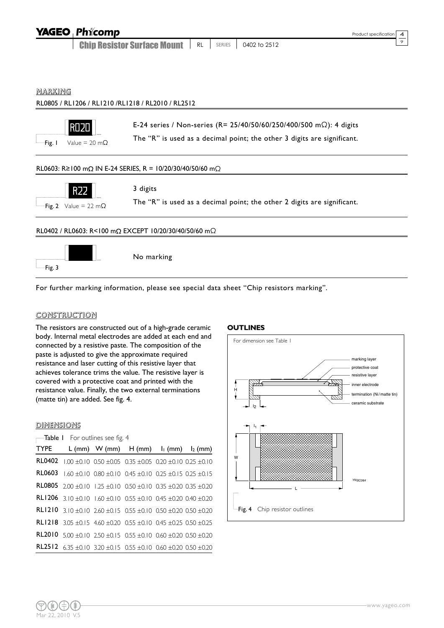|                | <b>YAGEO Phicomp</b>                            |                                                                                                                                               |    |               |              | Product specification<br>4 |
|----------------|-------------------------------------------------|-----------------------------------------------------------------------------------------------------------------------------------------------|----|---------------|--------------|----------------------------|
|                |                                                 | <b>Chip Resistor Surface Mount</b>                                                                                                            | RL | <b>SERIES</b> | 0402 to 2512 | 9                          |
| <u>MARKING</u> |                                                 | RL0805 / RL1206 / RL1210 / RL1218 / RL2010 / RL2512                                                                                           |    |               |              |                            |
| Fig. I         | <b>ROZI</b><br>Value = 20 m $\Omega$            | E-24 series / Non-series (R= 25/40/50/60/250/400/500 mΩ): 4 digits<br>The "R" is used as a decimal point; the other 3 digits are significant. |    |               |              |                            |
|                |                                                 | RL0603: R ≥ 100 m $\Omega$ IN E-24 SERIES, R = 10/20/30/40/50/60 m $\Omega$                                                                   |    |               |              |                            |
|                | R <sub>22</sub><br>Fig. 2 Value = 22 m $\Omega$ | 3 digits<br>The "R" is used as a decimal point; the other 2 digits are significant.                                                           |    |               |              |                            |
|                |                                                 | RL0402 / RL0603: R<100 mΩ EXCEPT 10/20/30/40/50/60 mΩ                                                                                         |    |               |              |                            |
| -Fig. 3        |                                                 | No marking                                                                                                                                    |    |               |              |                            |

For further marking information, please see special data sheet "Chip resistors marking".

#### CONSTRUCTION

The resistors are constructed out of a high-grade ceramic body. Internal metal electrodes are added at each end and connected by a resistive paste. The composition of the paste is adjusted to give the approximate required resistance and laser cutting of this resistive layer that achieves tolerance trims the value. The resistive layer is covered with a protective coat and printed with the resistance value. Finally, the two external terminations (matte tin) are added. See fig. 4.

#### **DIMENSIONS**

| <b>TYPE</b> |                                                                                               | L (mm) W (mm) $H (mm)$ $I_1 (mm)$ $I_2 (mm)$ |  |  |
|-------------|-----------------------------------------------------------------------------------------------|----------------------------------------------|--|--|
|             | <b>RL0402</b> 1.00 $\pm$ 0.10 0.50 $\pm$ 0.05 0.35 $\pm$ 0.05 0.20 $\pm$ 0.10 0.25 $\pm$ 0.10 |                                              |  |  |
|             | <b>RL0603</b> 1.60 ±0.10 0.80 ±0.10 0.45 ±0.10 0.25 ±0.15 0.25 ±0.15                          |                                              |  |  |
|             | <b>RL0805</b> 2.00 $\pm$ 0.10 1.25 $\pm$ 0.10 0.50 $\pm$ 0.10 0.35 $\pm$ 0.20 0.35 $\pm$ 0.20 |                                              |  |  |
|             | <b>RL1206</b> 3.10 $\pm$ 0.10 1.60 $\pm$ 0.10 0.55 $\pm$ 0.10 0.45 $\pm$ 0.20 0.40 $\pm$ 0.20 |                                              |  |  |
|             | <b>RL1210</b> 3.10 $\pm$ 0.10 2.60 $\pm$ 0.15 0.55 $\pm$ 0.10 0.50 $\pm$ 0.20 0.50 $\pm$ 0.20 |                                              |  |  |
|             | <b>RL1218</b> 3.05 $\pm$ 0.15 4.60 $\pm$ 0.20 0.55 $\pm$ 0.10 0.45 $\pm$ 0.25 0.50 $\pm$ 0.25 |                                              |  |  |
|             | <b>RL2010</b> 5.00 $\pm$ 0.10 2.50 $\pm$ 0.15 0.55 $\pm$ 0.10 0.60 $\pm$ 0.20 0.50 $\pm$ 0.20 |                                              |  |  |
|             | <b>RL2512</b> 6.35 $\pm$ 0.10 3.20 $\pm$ 0.15 0.55 $\pm$ 0.10 0.60 $\pm$ 0.20 0.50 $\pm$ 0.20 |                                              |  |  |

#### **OUTLINES**

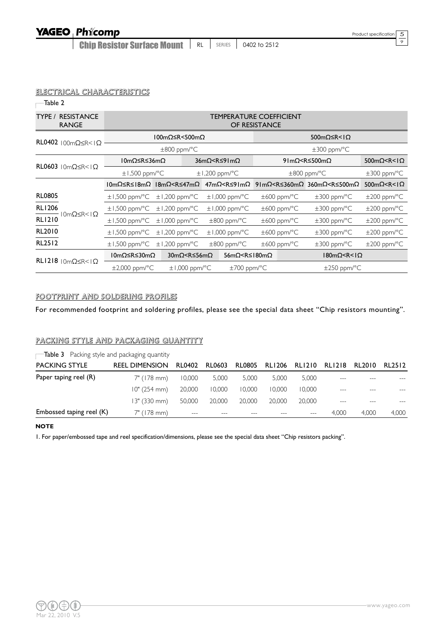$\overline{\circ}$ 

#### ELECTRICAL CHARACTERISTICS

 $\overline{\phantom{a}}$ Table 2

| <b>RESISTANCE</b><br>TYPE /<br><b>RANGE</b>       |                    |                                                                                                                                                                                                                                                                                  |                                                                                                                                                                     | TEMPERATURE COEFFICIENT<br>OF RESISTANCE |                                                                                                |                                                     |  |
|---------------------------------------------------|--------------------|----------------------------------------------------------------------------------------------------------------------------------------------------------------------------------------------------------------------------------------------------------------------------------|---------------------------------------------------------------------------------------------------------------------------------------------------------------------|------------------------------------------|------------------------------------------------------------------------------------------------|-----------------------------------------------------|--|
| RL0402 $100 \text{m} \Omega \leq R \leq 1 \Omega$ |                    | 100mΩ≤R < 500mΩ                                                                                                                                                                                                                                                                  |                                                                                                                                                                     | 500mΩ≤R< $\Omega$                        |                                                                                                |                                                     |  |
|                                                   |                    | $\pm 800$ ppm/°C                                                                                                                                                                                                                                                                 |                                                                                                                                                                     |                                          | $\pm 300$ ppm/°C                                                                               |                                                     |  |
| RL0603 $10m\Omega \le R < 1\Omega$                | I0mΩ≤R≤36mΩ        |                                                                                                                                                                                                                                                                                  | 36mΩ <r≤91mω< th=""><th></th><th>91m<math>\Omega</math><r≤500m<math>\Omega</r≤500m<math></th><th><math>500 \text{m}\Omega &lt; R &lt; 1\Omega</math></th></r≤91mω<> |                                          | 91m $\Omega$ <r≤500m<math>\Omega</r≤500m<math>                                                 | $500 \text{m}\Omega < R < 1\Omega$                  |  |
|                                                   | $\pm$ 1,500 ppm/°C |                                                                                                                                                                                                                                                                                  | $\pm$ 1,200 ppm/°C                                                                                                                                                  |                                          | $\pm 800$ ppm/°C                                                                               | $\pm 300$ ppm/°C                                    |  |
|                                                   | I0mΩ≤R≤I8mΩ        | 18mΩ <r≤47mω< th=""><th></th><th></th><th><math>47m\Omega &lt; R \le 91m\Omega</math> 91m<math>\Omega &lt; R \le 360m\Omega</math> 360m<math>\Omega &lt; R \le 500m\Omega</math></th><th><math>500 \text{m}</math><math>\Omega</math> <r <="" <math="">\Omega</r></th></r≤47mω<> |                                                                                                                                                                     |                                          | $47m\Omega < R \le 91m\Omega$ 91m $\Omega < R \le 360m\Omega$ 360m $\Omega < R \le 500m\Omega$ | $500 \text{m}$ $\Omega$ <r <="" <math="">\Omega</r> |  |
| <b>RL0805</b>                                     | $\pm$ 1,500 ppm/°C | $\pm$ 1,200 ppm/°C                                                                                                                                                                                                                                                               | $\pm$ 1,000 ppm/°C                                                                                                                                                  | $\pm 600$ ppm/ $\degree$ C               | $\pm 300$ ppm/°C                                                                               | $\pm 200$ ppm/ $\degree$ C                          |  |
| <b>RL1206</b><br>$0m\Omega \leq R <  \Omega $     | $\pm$ 1,500 ppm/°C | $\pm$ 1,200 ppm/°C                                                                                                                                                                                                                                                               | $\pm$ 1,000 ppm/°C                                                                                                                                                  | $\pm 600$ ppm/°C                         | $\pm 300$ ppm/°C                                                                               | $\pm 200$ ppm/ $\degree$ C                          |  |
| <b>RL1210</b>                                     | $\pm$ 1,500 ppm/°C | $\pm$ 1,000 ppm/°C                                                                                                                                                                                                                                                               | $\pm 800$ ppm/°C                                                                                                                                                    | $\pm 600$ ppm/°C                         | $\pm 300$ ppm/°C                                                                               | $\pm 200$ ppm/°C                                    |  |
| RL2010                                            | $\pm$ 1,500 ppm/°C | $\pm$ 1,200 ppm/°C                                                                                                                                                                                                                                                               | $\pm$ 1,000 ppm/°C                                                                                                                                                  | $\pm 600$ ppm/°C                         | $\pm 300$ ppm/°C                                                                               | $\pm 200$ ppm/°C                                    |  |
| <b>RL2512</b>                                     | $\pm$ 1,500 ppm/°C | $\pm$ 1,200 ppm/°C                                                                                                                                                                                                                                                               | $\pm 800$ ppm/°C                                                                                                                                                    | $\pm 600$ ppm/°C                         | $\pm 300$ ppm/°C                                                                               | $\pm 200$ ppm/°C                                    |  |
| $RL1218$ $10m\Omega \leq R < 1\Omega$             | I0mΩ≤R≤30mΩ        | 30mΩ <r≤56mω< th=""><th>56mΩ &lt; R ≤ 180mΩ</th><th></th><th><math>180m\Omega &lt; R &lt;   \Omega</math></th><th></th></r≤56mω<>                                                                                                                                                | 56mΩ < R ≤ 180mΩ                                                                                                                                                    |                                          | $180m\Omega < R <   \Omega$                                                                    |                                                     |  |
|                                                   | $\pm 2,000$ ppm/°C | $\pm$ 1,000 ppm/°C                                                                                                                                                                                                                                                               | $\pm$ 700 ppm/°C                                                                                                                                                    |                                          | $\pm 250$ ppm/ $\degree$ C                                                                     |                                                     |  |

#### FOOTPRINT AND SOLDERING PROFILES

For recommended footprint and soldering profiles, please see the special data sheet "Chip resistors mounting".

#### PACKING STYLE AND PACKAGING QUANTITY

**Table 3** Packing style and packaging quantity

| <b>PACKING STYLE</b>     | <b>REEL DIMENSION</b> | <b>RL0402</b> | <b>RL0603</b> | RL0805 | RL1206 | RL1210 | RL1218                    | RL2010 | RL2512 |
|--------------------------|-----------------------|---------------|---------------|--------|--------|--------|---------------------------|--------|--------|
| Paper taping reel (R)    | 7" (178 mm)           | 10,000        | 5,000         | 5.000  | 5.000  | 5,000  | $---$                     |        |        |
|                          | 10" (254 mm)          | 20,000        | 10,000        | 10.000 | 10,000 | 10.000 | $\qquad \qquad -\qquad -$ |        |        |
|                          | 13" (330 mm)          | 50,000        | 20,000        | 20.000 | 20,000 | 20,000 |                           |        |        |
| Embossed taping reel (K) | $7"$ (178 mm)         | $---$         |               |        |        | ---    | 4.000                     | 4.000  | 4,000  |

#### **NOTE**

1. For paper/embossed tape and reel specification/dimensions, please see the special data sheet "Chip resistors packing".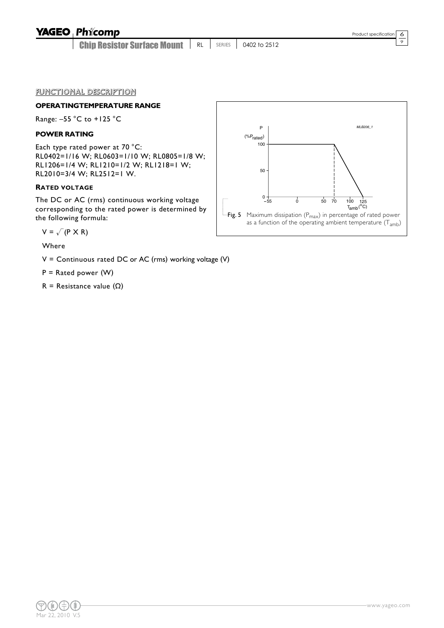## **YAGEO Phicomp**

Chip Resistor Surface Mount **RL** SERIES 0402 to 2512  $\overline{\circ}$ 

#### FUNCTIONAL DESCRIPTION

## **OPERATINGTEMPERATURE RANGE**

Range: –55 °C to +125 °C

#### **POWER RATING**

Each type rated power at 70 °C: RL0402=1/16 W; RL0603=1/10 W; RL0805=1/8 W; RL1206=1/4 W; RL1210=1/2 W; RL1218=1 W; RL2010=3/4 W; RL2512=1 W.

#### **RATED VOLTAGE**

The DC or AC (rms) continuous working voltage corresponding to the rated power is determined by the following formula:

$$
V = \sqrt{(P \times R)}
$$

Where

 $V =$  Continuous rated DC or AC (rms) working voltage (V)

 $P =$  Rated power (W)

R = Resistance value  $(\Omega)$ 

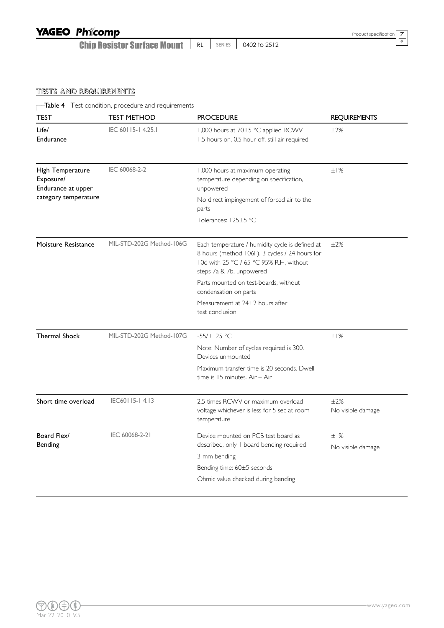## YAGEO Phicomp

Chip Resistor Surface Mount | RL | SERIES | 0402 to 2512

 $\overline{\circ}$ 

#### TESTS AND REQUIREMENTS

Table 4 Test condition, procedure and requirements

| TEST                                                | <b>TEST METHOD</b>       | <b>PROCEDURE</b>                                                                                                                                                         | <b>REQUIREMENTS</b>      |
|-----------------------------------------------------|--------------------------|--------------------------------------------------------------------------------------------------------------------------------------------------------------------------|--------------------------|
| Life/<br>Endurance                                  | IEC 60115-14.25.1        | 1,000 hours at 70±5 °C applied RCWV<br>1.5 hours on, 0.5 hour off, still air required                                                                                    | ±2%                      |
| High Temperature<br>Exposure/<br>Endurance at upper | IEC 60068-2-2            | 1,000 hours at maximum operating<br>temperature depending on specification,<br>unpowered                                                                                 | ±1%                      |
| category temperature                                |                          | No direct impingement of forced air to the<br>parts                                                                                                                      |                          |
|                                                     |                          | Tolerances: 125±5 °C                                                                                                                                                     |                          |
| Moisture Resistance                                 | MIL-STD-202G Method-106G | Each temperature / humidity cycle is defined at<br>8 hours (method 106F), 3 cycles / 24 hours for<br>10d with 25 °C / 65 °C 95% R.H. without<br>steps 7a & 7b, unpowered | ±2%                      |
|                                                     |                          | Parts mounted on test-boards, without<br>condensation on parts                                                                                                           |                          |
|                                                     |                          | Measurement at 24±2 hours after<br>test conclusion                                                                                                                       |                          |
| <b>Thermal Shock</b>                                | MIL-STD-202G Method-107G | $-55/+125 °C$                                                                                                                                                            | ±1%                      |
|                                                     |                          | Note: Number of cycles required is 300.<br>Devices unmounted                                                                                                             |                          |
|                                                     |                          | Maximum transfer time is 20 seconds. Dwell<br>time is 15 minutes. Air - Air                                                                                              |                          |
| Short time overload                                 | IEC60115-14.13           | 2.5 times RCWV or maximum overload<br>voltage whichever is less for 5 sec at room<br>temperature                                                                         | ±2%<br>No visible damage |
| Board Flex/                                         | IEC 60068-2-21           | Device mounted on PCB test board as                                                                                                                                      | ±1%                      |
| Bending                                             |                          | described, only I board bending required<br>3 mm bending                                                                                                                 | No visible damage        |
|                                                     |                          | Bending time: 60±5 seconds                                                                                                                                               |                          |
|                                                     |                          | Ohmic value checked during bending                                                                                                                                       |                          |
|                                                     |                          |                                                                                                                                                                          |                          |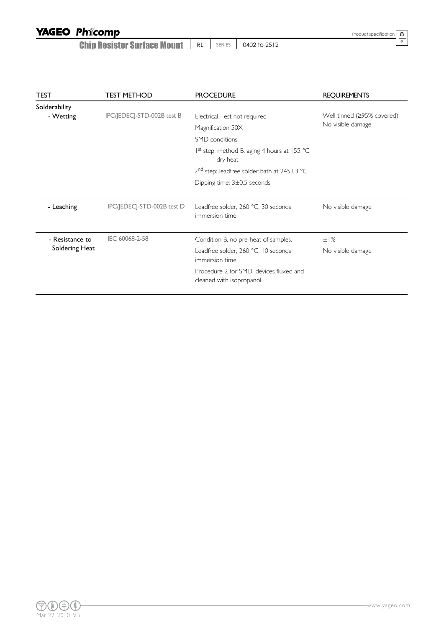Chip Resistor Surface Mount | RL | SERIES | 0402 to 2512

Product specification

 $rac{8}{9}$ 

| <b>TEST</b>     | <b>TEST METHOD</b>         | <b>PROCEDURE</b>                                                    | <b>REQUIREMENTS</b>        |
|-----------------|----------------------------|---------------------------------------------------------------------|----------------------------|
| Solderability   |                            |                                                                     |                            |
| - Wetting       | IPC/JEDECJ-STD-002B test B | Electrical Test not required                                        | Well tinned (≥95% covered) |
|                 |                            | Magnification 50X                                                   | No visible damage          |
|                 |                            | SMD conditions:                                                     |                            |
|                 |                            | 1 <sup>st</sup> step: method B, aging 4 hours at 155 °C<br>dry heat |                            |
|                 |                            | $2nd$ step: leadfree solder bath at 245 $\pm$ 3 °C                  |                            |
|                 |                            | Dipping time: 3±0.5 seconds                                         |                            |
|                 |                            |                                                                     |                            |
| - Leaching      | IPC/JEDECJ-STD-002B test D | Leadfree solder, 260 °C, 30 seconds<br>immersion time               | No visible damage          |
| - Resistance to | IEC 60068-2-58             | Condition B, no pre-heat of samples.                                | ±1%                        |
| Soldering Heat  |                            | Leadfree solder, 260 °C, 10 seconds<br>immersion time               | No visible damage          |
|                 |                            | Procedure 2 for SMD: devices fluxed and<br>cleaned with isopropanol |                            |